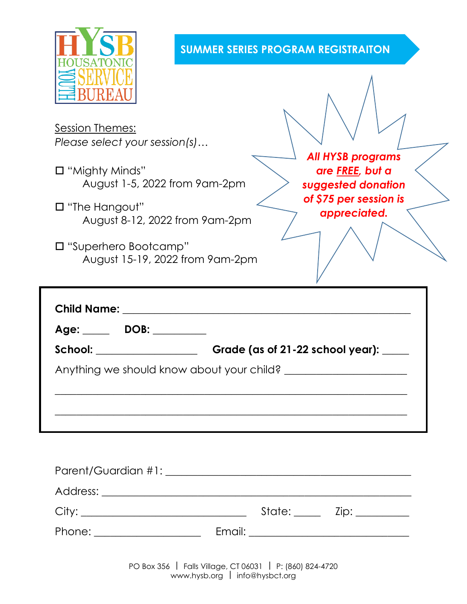

## **SUMMER SERIES PROGRAM REGISTRAITON**

Session Themes: *Please select your session(s)…*

- "Mighty Minds" August 1-5, 2022 from 9am-2pm
- "The Hangout" August 8-12, 2022 from 9am-2pm
- "Superhero Bootcamp" August 15-19, 2022 from 9am-2pm

*All HYSB programs are FREE, but a suggested donation of \$75 per session is appreciated.*

| Age: DOB: 1999.          |                                        |
|--------------------------|----------------------------------------|
| School: ________________ | Grade (as of 21-22 school year): _____ |
|                          |                                        |

|                              |  | State: <u>Unit Zip: 21</u> |
|------------------------------|--|----------------------------|
| Phone: _____________________ |  |                            |